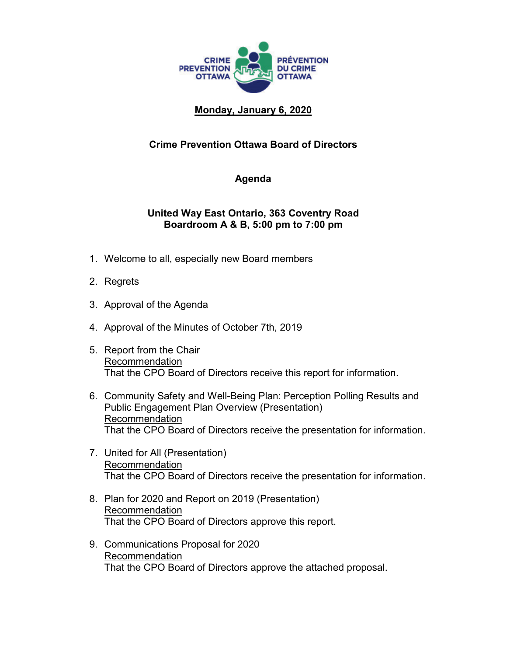

## **Monday, January 6, 2020**

## **Crime Prevention Ottawa Board of Directors**

## **Agenda**

## **United Way East Ontario, 363 Coventry Road Boardroom A & B, 5:00 pm to 7:00 pm**

- 1. Welcome to all, especially new Board members
- 2. Regrets
- 3. Approval of the Agenda
- 4. Approval of the Minutes of October 7th, 2019
- 5. Report from the Chair Recommendation That the CPO Board of Directors receive this report for information.
- 6. Community Safety and Well-Being Plan: Perception Polling Results and Public Engagement Plan Overview (Presentation) Recommendation That the CPO Board of Directors receive the presentation for information.
- 7. United for All (Presentation) Recommendation That the CPO Board of Directors receive the presentation for information.
- 8. Plan for 2020 and Report on 2019 (Presentation) Recommendation That the CPO Board of Directors approve this report.
- 9. Communications Proposal for 2020 Recommendation That the CPO Board of Directors approve the attached proposal.